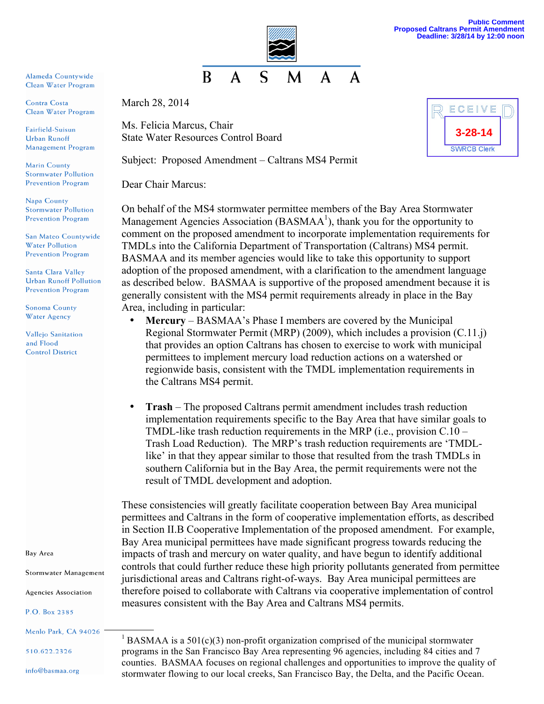

Alameda Countywide Clean Water Program

Contra Costa Clean Water Program

Fairfield-Suisun **Urban Runoff** Management Program

**Marin County Stormwater Pollution Prevention Program** 

Napa County **Stormwater Pollution Prevention Program** 

San Mateo Countywide **Water Pollution Prevention Program** 

**Santa Clara Valley Urban Runoff Pollution Prevention Program** 

**Sonoma County Water Agency** 

**Vallejo Sanitation** and Flood **Control District** 

Bay Area

**Stormwater Management** 

**Agencies Association** 

P.O. Box 2385

510.622.2326

info@basmaa.org

March 28, 2014

Ms. Felicia Marcus, Chair State Water Resources Control Board

Subject: Proposed Amendment – Caltrans MS4 Permit

Dear Chair Marcus:

On behalf of the MS4 stormwater permittee members of the Bay Area Stormwater Management Agencies Association ( $BASMAA<sup>1</sup>$ ), thank you for the opportunity to comment on the proposed amendment to incorporate implementation requirements for TMDLs into the California Department of Transportation (Caltrans) MS4 permit. BASMAA and its member agencies would like to take this opportunity to support adoption of the proposed amendment, with a clarification to the amendment language as described below. BASMAA is supportive of the proposed amendment because it is generally consistent with the MS4 permit requirements already in place in the Bay Area, including in particular:

- **Mercury** BASMAA's Phase I members are covered by the Municipal Regional Stormwater Permit (MRP) (2009), which includes a provision (C.11.j) that provides an option Caltrans has chosen to exercise to work with municipal permittees to implement mercury load reduction actions on a watershed or regionwide basis, consistent with the TMDL implementation requirements in the Caltrans MS4 permit.
- **Trash**  The proposed Caltrans permit amendment includes trash reduction implementation requirements specific to the Bay Area that have similar goals to TMDL-like trash reduction requirements in the MRP (i.e., provision C.10 – Trash Load Reduction). The MRP's trash reduction requirements are 'TMDLlike' in that they appear similar to those that resulted from the trash TMDLs in southern California but in the Bay Area, the permit requirements were not the result of TMDL development and adoption.

These consistencies will greatly facilitate cooperation between Bay Area municipal permittees and Caltrans in the form of cooperative implementation efforts, as described in Section II.B Cooperative Implementation of the proposed amendment. For example, Bay Area municipal permittees have made significant progress towards reducing the impacts of trash and mercury on water quality, and have begun to identify additional controls that could further reduce these high priority pollutants generated from permittee jurisdictional areas and Caltrans right-of-ways. Bay Area municipal permittees are therefore poised to collaborate with Caltrans via cooperative implementation of control measures consistent with the Bay Area and Caltrans MS4 permits.

Menlo Park, CA 94026  $\frac{1}{1}$  BASMAA is a 501(c)(3) non-profit organization comprised of the municipal stormwater programs in the San Francisco Bay Area representing 96 agencies, including 84 cities and 7 counties. BASMAA focuses on regional challenges and opportunities to improve the quality of stormwater flowing to our local creeks, San Francisco Bay, the Delta, and the Pacific Ocean.